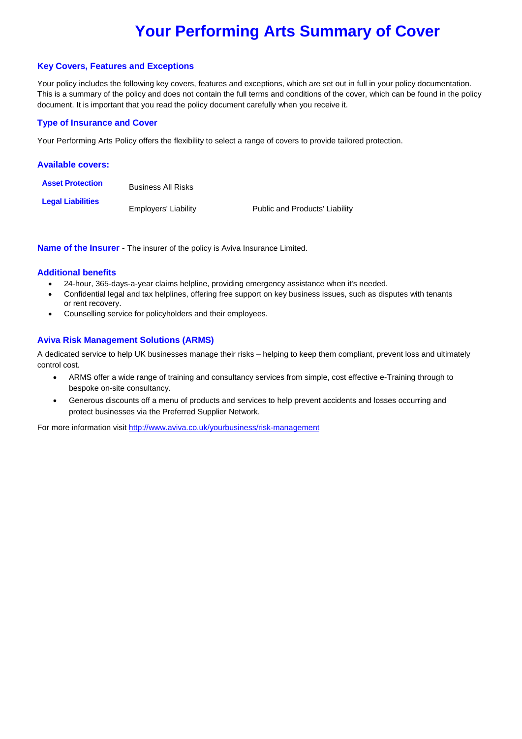# **Your Performing Arts Summary of Cover**

#### **Key Covers, Features and Exceptions**

Your policy includes the following key covers, features and exceptions, which are set out in full in your policy documentation. This is a summary of the policy and does not contain the full terms and conditions of the cover, which can be found in the policy document. It is important that you read the policy document carefully when you receive it.

## **Type of Insurance and Cover**

Your Performing Arts Policy offers the flexibility to select a range of covers to provide tailored protection.

| <b>Available covers:</b> |                           |                                |
|--------------------------|---------------------------|--------------------------------|
| <b>Asset Protection</b>  | <b>Business All Risks</b> |                                |
| <b>Legal Liabilities</b> | Employers' Liability      | Public and Products' Liability |

**Name of the Insurer** - The insurer of the policy is Aviva Insurance Limited.

#### **Additional benefits**

- 24-hour, 365-days-a-year claims helpline, providing emergency assistance when it's needed.
- Confidential legal and tax helplines, offering free support on key business issues, such as disputes with tenants or rent recovery.
- Counselling service for policyholders and their employees.

#### **Aviva Risk Management Solutions (ARMS)**

A dedicated service to help UK businesses manage their risks – helping to keep them compliant, prevent loss and ultimately control cost.

- ARMS offer a wide range of training and consultancy services from simple, cost effective e-Training through to bespoke on-site consultancy.
- Generous discounts off a menu of products and services to help prevent accidents and losses occurring and protect businesses via the Preferred Supplier Network.

For more information visit http://www.aviva.co.uk/yourbusiness/risk-management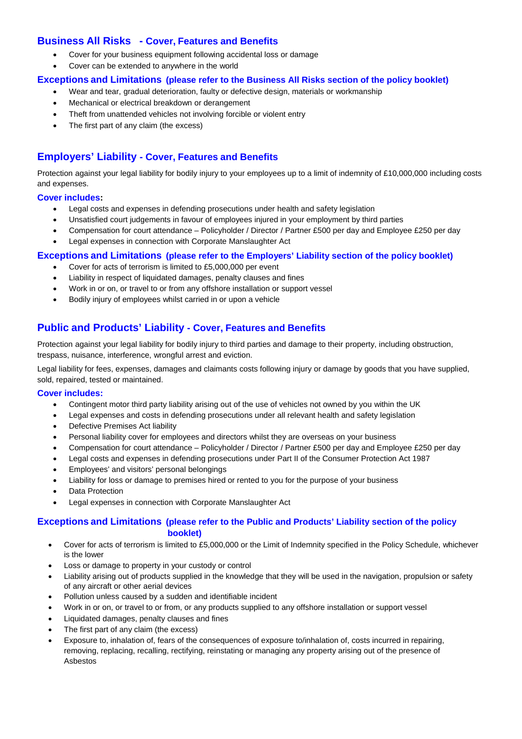# **Business All Risks - Cover, Features and Benefits**

- Cover for your business equipment following accidental loss or damage
- Cover can be extended to anywhere in the world

## **Exceptions and Limitations (please refer to the Business All Risks section of the policy booklet)**

- Wear and tear, gradual deterioration, faulty or defective design, materials or workmanship
- Mechanical or electrical breakdown or derangement
- Theft from unattended vehicles not involving forcible or violent entry
- The first part of any claim (the excess)

# **Employers' Liability - Cover, Features and Benefits**

Protection against your legal liability for bodily injury to your employees up to a limit of indemnity of £10,000,000 including costs and expenses.

#### **Cover includes:**

- Legal costs and expenses in defending prosecutions under health and safety legislation
- Unsatisfied court judgements in favour of employees injured in your employment by third parties
- Compensation for court attendance Policyholder / Director / Partner £500 per day and Employee £250 per day
- Legal expenses in connection with Corporate Manslaughter Act

#### **Exceptions and Limitations (please refer to the Employers' Liability section of the policy booklet)**

- Cover for acts of terrorism is limited to £5,000,000 per event
- Liability in respect of liquidated damages, penalty clauses and fines
- Work in or on, or travel to or from any offshore installation or support vessel
- Bodily injury of employees whilst carried in or upon a vehicle

# **Public and Products' Liability - Cover, Features and Benefits**

Protection against your legal liability for bodily injury to third parties and damage to their property, including obstruction, trespass, nuisance, interference, wrongful arrest and eviction.

Legal liability for fees, expenses, damages and claimants costs following injury or damage by goods that you have supplied, sold, repaired, tested or maintained.

#### **Cover includes:**

- Contingent motor third party liability arising out of the use of vehicles not owned by you within the UK
- Legal expenses and costs in defending prosecutions under all relevant health and safety legislation
- Defective Premises Act liability
- Personal liability cover for employees and directors whilst they are overseas on your business
- Compensation for court attendance Policyholder / Director / Partner £500 per day and Employee £250 per day
- Legal costs and expenses in defending prosecutions under Part II of the Consumer Protection Act 1987
- Employees' and visitors' personal belongings
- Liability for loss or damage to premises hired or rented to you for the purpose of your business
- Data Protection
- Legal expenses in connection with Corporate Manslaughter Act

## **Exceptions and Limitations (please refer to the Public and Products' Liability section of the policy booklet)**

- Cover for acts of terrorism is limited to £5,000,000 or the Limit of Indemnity specified in the Policy Schedule, whichever is the lower
- Loss or damage to property in your custody or control
- Liability arising out of products supplied in the knowledge that they will be used in the navigation, propulsion or safety of any aircraft or other aerial devices
- Pollution unless caused by a sudden and identifiable incident
- Work in or on, or travel to or from, or any products supplied to any offshore installation or support vessel
- Liquidated damages, penalty clauses and fines
- The first part of any claim (the excess)
- Exposure to, inhalation of, fears of the consequences of exposure to/inhalation of, costs incurred in repairing, removing, replacing, recalling, rectifying, reinstating or managing any property arising out of the presence of Asbestos